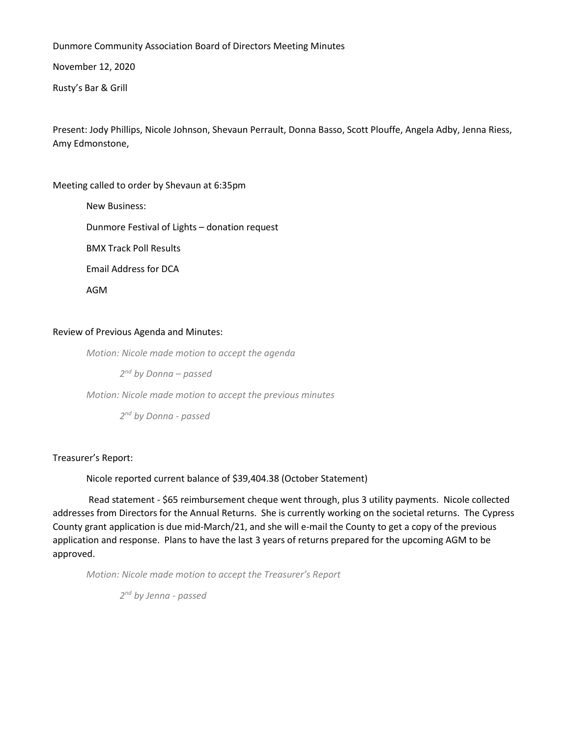Dunmore Community Association Board of Directors Meeting Minutes

November 12, 2020

Rusty's Bar & Grill

Present: Jody Phillips, Nicole Johnson, Shevaun Perrault, Donna Basso, Scott Plouffe, Angela Adby, Jenna Riess, Amy Edmonstone,

Meeting called to order by Shevaun at 6:35pm

New Business: Dunmore Festival of Lights – donation request BMX Track Poll Results Email Address for DCA AGM

# Review of Previous Agenda and Minutes:

*Motion: Nicole made motion to accept the agenda*

*2 nd by Donna – passed*

*Motion: Nicole made motion to accept the previous minutes*

*2 nd by Donna - passed*

Treasurer's Report:

Nicole reported current balance of \$39,404.38 (October Statement)

Read statement - \$65 reimbursement cheque went through, plus 3 utility payments. Nicole collected addresses from Directors for the Annual Returns. She is currently working on the societal returns. The Cypress County grant application is due mid-March/21, and she will e-mail the County to get a copy of the previous application and response. Plans to have the last 3 years of returns prepared for the upcoming AGM to be approved.

*Motion: Nicole made motion to accept the Treasurer's Report*

*2 nd by Jenna - passed*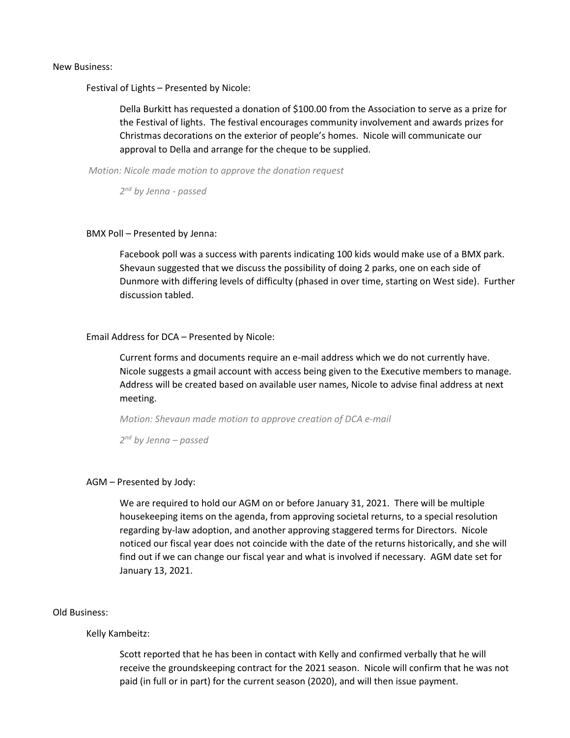New Business:

Festival of Lights – Presented by Nicole:

Della Burkitt has requested a donation of \$100.00 from the Association to serve as a prize for the Festival of lights. The festival encourages community involvement and awards prizes for Christmas decorations on the exterior of people's homes. Nicole will communicate our approval to Della and arrange for the cheque to be supplied.

*Motion: Nicole made motion to approve the donation request*

*2 nd by Jenna - passed*

### BMX Poll – Presented by Jenna:

Facebook poll was a success with parents indicating 100 kids would make use of a BMX park. Shevaun suggested that we discuss the possibility of doing 2 parks, one on each side of Dunmore with differing levels of difficulty (phased in over time, starting on West side). Further discussion tabled.

### Email Address for DCA – Presented by Nicole:

Current forms and documents require an e-mail address which we do not currently have. Nicole suggests a gmail account with access being given to the Executive members to manage. Address will be created based on available user names, Nicole to advise final address at next meeting.

*Motion: Shevaun made motion to approve creation of DCA e-mail*

*2 nd by Jenna – passed*

## AGM – Presented by Jody:

We are required to hold our AGM on or before January 31, 2021. There will be multiple housekeeping items on the agenda, from approving societal returns, to a special resolution regarding by-law adoption, and another approving staggered terms for Directors. Nicole noticed our fiscal year does not coincide with the date of the returns historically, and she will find out if we can change our fiscal year and what is involved if necessary. AGM date set for January 13, 2021.

#### Old Business:

Kelly Kambeitz:

Scott reported that he has been in contact with Kelly and confirmed verbally that he will receive the groundskeeping contract for the 2021 season. Nicole will confirm that he was not paid (in full or in part) for the current season (2020), and will then issue payment.